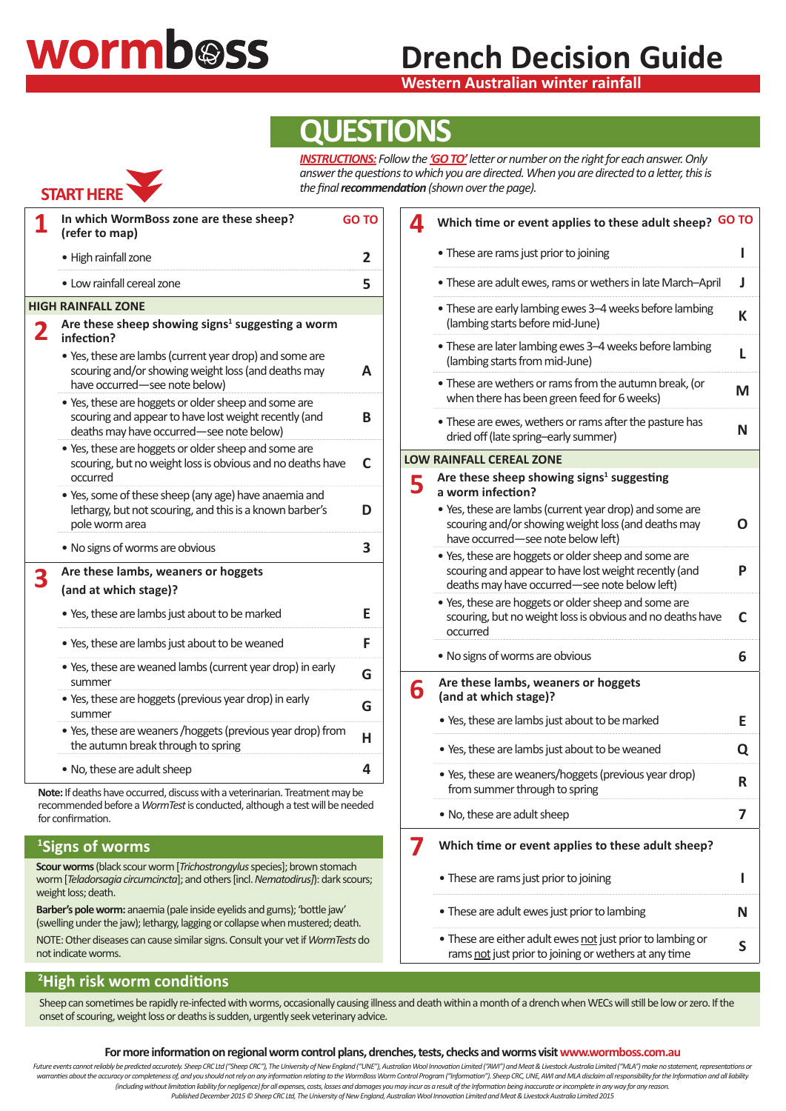# **wormb@ss**

## **Drench Decision Guide**

**Western Australian winter rainfall**

### **QUESTIONS**

*INSTRUCTIONS: Follow the 'GO TO'letter or number on the right for each answer. Only answer the questions to which you are directed. When you are directed to a letter, this is the final recommendation (shown over the page).*

|   | the final <b>recomn</b><br><b>START HERE</b>                                                                                                                                    |              |
|---|---------------------------------------------------------------------------------------------------------------------------------------------------------------------------------|--------------|
|   | In which WormBoss zone are these sheep?<br>(refer to map)                                                                                                                       | <b>GO TO</b> |
|   | • High rainfall zone                                                                                                                                                            | 2            |
|   | • Low rainfall cereal zone                                                                                                                                                      | 5            |
|   | <b>HIGH RAINFALL ZONE</b>                                                                                                                                                       |              |
| 2 | Are these sheep showing signs <sup>1</sup> suggesting a worm<br>infection?                                                                                                      |              |
|   | . Yes, these are lambs (current year drop) and some are<br>scouring and/or showing weight loss (and deaths may<br>have occurred-see note below)                                 | А            |
|   | . Yes, these are hoggets or older sheep and some are<br>scouring and appear to have lost weight recently (and<br>deaths may have occurred-see note below)                       | Β            |
|   | . Yes, these are hoggets or older sheep and some are<br>scouring, but no weight loss is obvious and no deaths have<br>occurred                                                  | C            |
|   | . Yes, some of these sheep (any age) have anaemia and<br>lethargy, but not scouring, and this is a known barber's<br>pole worm area                                             | D            |
|   | . No signs of worms are obvious                                                                                                                                                 | 3            |
|   | Are these lambs, weaners or hoggets<br>(and at which stage)?                                                                                                                    |              |
|   | • Yes, these are lambs just about to be marked                                                                                                                                  | Е            |
|   | . Yes, these are lambs just about to be weaned                                                                                                                                  | F            |
|   | . Yes, these are weaned lambs (current year drop) in early<br>summer                                                                                                            | G            |
|   | . Yes, these are hoggets (previous year drop) in early<br>summer                                                                                                                | G            |
|   | . Yes, these are weaners /hoggets (previous year drop) from<br>the autumn break through to spring                                                                               | н            |
|   | • No, these are adult sheep                                                                                                                                                     | 4            |
|   | Note: If deaths have occurred, discuss with a veterinarian. Treatment may be<br>recommended before a WormTest is conducted, although a test will be needed<br>for confirmation. |              |

### **1 Signs of worms**

**Scour worms** (black scour worm [*Trichostrongylus* species]; brown stomach worm [*Teladorsagia circumcincta*]; and others [incl. *Nematodirus]*): dark scours; weight loss; death.

**Barber's pole worm:** anaemia (pale inside eyelids and gums); 'bottle jaw' (swelling under the jaw); lethargy, lagging or collapse when mustered; death. NOTE: Other diseases can cause similar signs. Consult your vet if *WormTests* do not indicate worms.

| GO TO          | Δ. | Which time or event applies to these adult sheep? GO TO                                                                                                        |   |
|----------------|----|----------------------------------------------------------------------------------------------------------------------------------------------------------------|---|
| 2              |    | • These are rams just prior to joining                                                                                                                         | L |
| 5              |    | • These are adult ewes, rams or wethers in late March–April                                                                                                    | J |
|                |    | • These are early lambing ewes 3-4 weeks before lambing<br>(lambing starts before mid-June)                                                                    | К |
| Α              |    | • These are later lambing ewes 3-4 weeks before lambing<br>(lambing starts from mid-June)                                                                      | L |
|                |    | . These are wethers or rams from the autumn break, (or<br>when there has been green feed for 6 weeks)                                                          | M |
| B              |    | • These are ewes, wethers or rams after the pasture has<br>dried off (late spring-early summer)                                                                | Ν |
| C              |    | <b>LOW RAINFALL CEREAL ZONE</b>                                                                                                                                |   |
|                | 5  | Are these sheep showing signs <sup>1</sup> suggesting<br>a worm infection?                                                                                     |   |
| D              |    | • Yes, these are lambs (current year drop) and some are<br>scouring and/or showing weight loss (and deaths may<br>have occurred-see note below left)           | O |
| 3              |    | . Yes, these are hoggets or older sheep and some are<br>scouring and appear to have lost weight recently (and<br>deaths may have occurred-see note below left) | P |
| Е              |    | • Yes, these are hoggets or older sheep and some are<br>scouring, but no weight loss is obvious and no deaths have<br>occurred                                 | C |
| F              |    | . No signs of worms are obvious                                                                                                                                | 6 |
| G<br>G         | 6  | Are these lambs, weaners or hoggets<br>(and at which stage)?                                                                                                   |   |
| J              |    | . Yes, these are lambs just about to be marked                                                                                                                 | Е |
| н              |    | . Yes, these are lambs just about to be weaned                                                                                                                 | Q |
| 4<br>ay be     |    | • Yes, these are weaners/hoggets (previous year drop)<br>from summer through to spring                                                                         | R |
| needed         |    | • No, these are adult sheep                                                                                                                                    | 7 |
|                |    | Which time or event applies to these adult sheep?                                                                                                              |   |
| ach<br>scours; |    | • These are rams just prior to joining                                                                                                                         | ı |
| ı<br>eath.     |    | • These are adult ewes just prior to lambing                                                                                                                   | N |
| sts do         |    | • These are either adult ewes not just prior to lambing or<br>rams not just prior to joining or wethers at any time                                            | S |

### **2 High risk worm conditions**

Sheep can sometimes be rapidly re-infected with worms, occasionally causing illness and death within a month of a drench when WECs will still be low or zero. If the onset of scouring, weight loss or deaths is sudden, urgently seek veterinary advice.

#### **For more information on regional worm control plans, drenches, tests, checks and worms visit www.wormboss.com.au**

Future events cannot reliably be predicted accurately. Sheep CRC Ltd ("Sheep CRC"), The University of New England ("UNE"), Australian Wool Innovation Limited ("AWI") and Meat & Livestock Australia Limited ("MLA") make no s warranties about the accuracy or completeness of, and you should not rely on any information relating to the WormBoss Worm Control Program ("information"). Sheep CRC, UNE, AWI and MLA disclaim all responsibility for the In *(including without limitation liability for negligence) for all expenses, costs, losses and damages you may incur as a result of the Information being inaccurate or incomplete in any way for any reason. Published December 2015 © Sheep CRC Ltd, The University of New England, Australian Wool Innovation Limited and Meat & Livestock Australia Limited 2015*